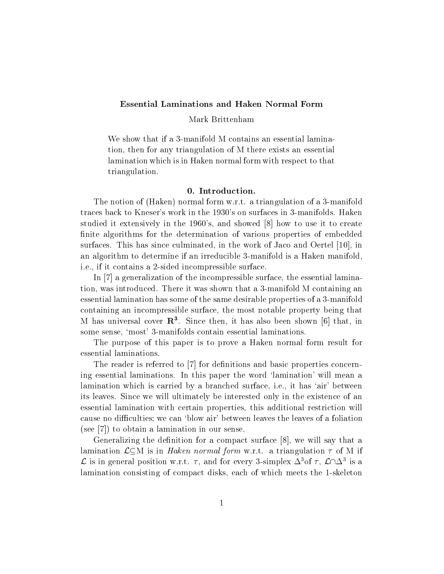# Mark Brittenham

We show that if a 3-manifold M contains an essential lamination, then for any triangulation of M there exists an essential lamination which is in Haken normal form with respect to that triangulation.

The notion of (Haken) normal form w.r.t. a triangulation of a 3-manifold traces back to Kneser's work in the 1930's on surfaces in 3-manifolds. Haken studied it extensively in the 1960's, and showed [8] how to use it to create finite algorithms for the determination of various properties of embedded surfaces. This has since culminated, in the work of Jaco and Oertel [10], in an algorithm to determine if an irreducible 3-manifold is a Haken manifold, i.e., if it contains a 2-sided incompressible surface.

In [7] a generalization of the incompressible surface, the essential lamination, was introduced. There it was shown that a 3-manifold M containing an essential lamination has some of the same desirable properties of a 3-manifold containing an incompressible surface, the most notable property being that  $M$  has universal cover  $\bf R$  . Since then, it has also been shown [6] that, in some sense, 'most' 3-manifolds contain essential laminations.

The purpose of this paper is to prove a Haken normal form result for essential laminations.

The reader is referred to [7] for definitions and basic properties concerning essential laminations. In this paper the word 'lamination' will mean a lamination which is carried by a branched surface, i.e., it has `air' between its leaves. Since we will ultimately be interested only in the existence of an essential lamination with certain properties, this additional restriction will cause no difficulties; we can 'blow air' between leaves the leaves of a foliation (see [7]) to obtain a lamination in our sense.

Generalizing the definition for a compact surface  $[8]$ , we will say that a lamination  $\mathcal{L}\subseteq M$  is in *Haken normal form* w.r.t. a triangulation  $\tau$  of M if  $\mathcal L$  is in general position w.r.t.  $\tau$ , and for every 3-simplex  $\Delta$  of  $\tau$ ,  $\mathcal L\cap\Delta$  is a lamination consisting of compact disks, each of which meets the 1-skeleton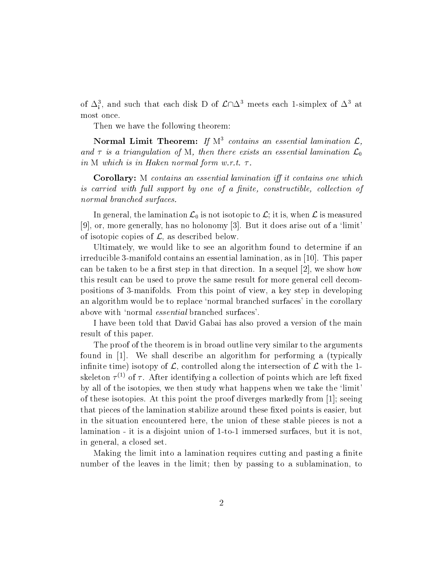of  $\Delta_i$ , and such that each disk D of  $\mathcal{L} \cap \Delta^*$  meets each 1-simplex of  $\Delta^*$  at most once.

Then we have the following theorem:

**Normal Limit Theorem:** If M<sup>3</sup> contains an essential lamination  $\mathcal{L}$ , and  $\tau$  is a triangulation of M, then there exists an essential lamination  $\mathcal{L}_0$ in M which is in Haken normal form w.r.t.  $\tau$ .

corollary: M contains and the stream interesting in the streamers on the which it contains is carried with full support by one of a finite, constructible, collection of normal branched surfaces.

In general, the lamination  $\mathcal{L}_0$  is not isotopic to  $\mathcal{L}$ ; it is, when  $\mathcal{L}$  is measured  $[9]$ , or, more generally, has no holonomy  $[3]$ . But it does arise out of a 'limit' of isotopic copies of  $\mathcal{L}$ , as described below.

Ultimately, we would like to see an algorithm found to determine if an irreducible 3-manifold contains an essential lamination, as in [10]. This paper can be taken to be a first step in that direction. In a sequel  $[2]$ , we show how this result can be used to prove the same result for more general cell decompositions of 3-manifolds. From this point of view, a key step in developing an algorithm would be to replace 'normal branched surfaces' in the corollary above with `normal essential branched surfaces'.

I have been told that David Gabai has also proved a version of the main result of this paper.

The proof of the theorem is in broad outline very similar to the arguments found in [1]. We shall describe an algorithm for performing a (typically infinite time) isotopy of  $\mathcal{L}$ , controlled along the intersection of  $\mathcal{L}$  with the 1skeleton  $\tau \sim$  of  $\tau$  . After identifying a collection of points which are left fixed by all of the isotopies, we then study what happens when we take the 'limit' of these isotopies. At this point the proof diverges markedly from [1]; seeing that pieces of the lamination stabilize around these fixed points is easier, but in the situation encountered here, the union of these stable pieces is not a lamination - it is a disjoint union of 1-to-1 immersed surfaces, but it is not, in general, a closed set.

Making the limit into a lamination requires cutting and pasting a finite number of the leaves in the limit; then by passing to a sublamination, to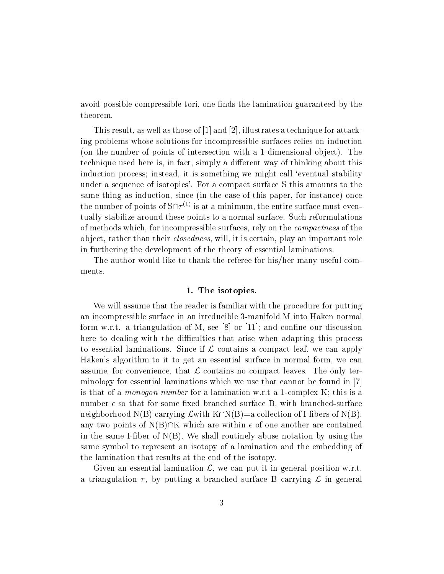avoid possible compressible tori, one finds the lamination guaranteed by the theorem.

This result, as well as those of [1] and [2], illustrates a technique for attacking problems whose solutions for incompressible surfaces relies on induction (on the number of points of intersection with a 1-dimensional object). The technique used here is, in fact, simply a different way of thinking about this induction process; instead, it is something we might call 'eventual stability under a sequence of isotopies'. For a compact surface S this amounts to the same thing as induction, since (in the case of this paper, for instance) once the number of points of S $\left|T\right\rangle$  is at a minimum, the entire surface must eventually stabilize around these points to a normal surface. Such reformulations of methods which, for incompressible surfaces, rely on the compactness of the object, rather than their *closedness*, will, it is certain, play an important role in furthering the development of the theory of essential laminations.

The author would like to thank the referee for his/her many useful comments.

## 1. The isotopies.

We will assume that the reader is familiar with the procedure for putting an incompressible surface in an irreducible 3-manifold M into Haken normal form w.r.t. a triangulation of M, see [8] or [11]; and confine our discussion here to dealing with the difficulties that arise when adapting this process to essential laminations. Since if  $\mathcal L$  contains a compact leaf, we can apply Haken's algorithm to it to get an essential surface in normal form, we can assume, for convenience, that  $\mathcal L$  contains no compact leaves. The only terminology for essential laminations which we use that cannot be found in [7] is that of a monogon number for a lamination w.r.t a 1-complex K; this is a number  $\epsilon$  so that for some fixed branched surface B, with branched-surface neighborhood N(B) carrying  $\mathcal L$  with K $\cap N(B)=a$  collection of I-fibers of N(B). any two points of N(B) $\cap$ K which are within  $\epsilon$  of one another are contained in the same I-fiber of  $N(B)$ . We shall routinely abuse notation by using the same symbol to represent an isotopy of a lamination and the embedding of the lamination that results at the end of the isotopy.

Given an essential lamination  $\mathcal{L}$ , we can put it in general position w.r.t. a triangulation  $\tau$ , by putting a branched surface B carrying  $\mathcal L$  in general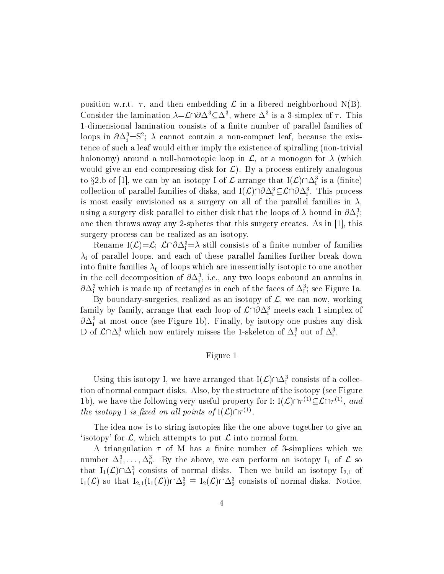position w.r.t.  $\tau$ , and then embedding  $\mathcal L$  in a fibered neighborhood N(B). Consider the lamination  $\lambda = L$   $\partial \Delta \subseteq \Delta$ , where  $\Delta$  is a 3-simplex of 7. This 1-dimensional lamination consists of a finite number of parallel families of loops in  $\partial \Delta_{\rm i} = S^*;$   $\lambda$  cannot contain a non-compact leaf, because the existence of such a leaf would either imply the existence of spiralling (non-trivial holonomy) around a null-homotopic loop in  $\mathcal{L}$ , or a monogon for  $\lambda$  (which would give an end-compressing disk for  $\mathcal{L}$ ). By a process entirely analogous to  $32.6$  of [1], we can by an isotopy I of L arrange that  $I(L)$   $|\Delta_1|$  is a (finite) collection of parallel families of disks, and  $I(\mathcal{L})\|\partial\Delta_{\rm i}\subseteq\mathcal{L}\|\partial\Delta_{\rm i}$ . This process is most easily envisioned as a surgery on all of the parallel families in  $\lambda$ , using a surgery disk parallel to either disk that the loops of  $\lambda$  bound in  $\partial \Delta_{\tilde{i}}$ ; one then throws away any 2-spheres that this surgery creates. As in [1], this surgery process can be realized as an isotopy.

Rename  $I(L)=L$ ; L $[U\Delta$ <sub>i</sub>  $=\Delta$  still consists of a limite number of families  $\lambda_i$  of parallel loops, and each of these parallel families further break down into finite families  $\lambda_{ii}$  of loops which are inessentially isotopic to one another in the cell decomposition of  $\partial \Delta_{\rm i}$  , i.e., any two loops cobound an annulus in  $\sigma \Delta_{\rm i}^{\rm i}$  which is made up of rectangles in each of the faces of  $\Delta_{\rm i}^{\rm i}$ ; see Figure 1a.

By boundary-surgeries, realized as an isotopy of  $\mathcal{L}$ , we can now, working family by family, arrange that each loop of  $\mathcal{L}$   $\beta\Delta_{\rm i}^{\rm r}$  meets each 1-simplex of  $\sigma \Delta_i$  at most once (see Figure 1b). Finally, by isotopy one pushes any disk D of  $\mathcal{L} \cap \mathcal{L}_i$  which now entirely misses the 1-skeleton of  $\Delta_i$  out of  $\Delta_i$ .

# Figure 1

Using this isotopy 1, we have arranged that  $I(L)$   $|\Delta_i|$  consists of a collection of normal compact disks. Also, by the structure of the isotopy (see Figure 1b), we have the following very useful property for 1:  $I(\mathcal{L})$  if  $\Box$   $\Box$  if  $\Box$ , and the isotopy  $\Gamma$  is fixed on all points of  $\Gamma(\mathcal{L})\cap\mathcal{L}^{\vee}$ .

The idea now is to string isotopies like the one above together to give an 'isotopy' for  $\mathcal{L}$ , which attempts to put  $\mathcal{L}$  into normal form.

A triangulation  $\tau$  of M has a finite number of 3-simplices which we number  $\Delta_1,\ldots,\Delta_n$ . By the above, we can perform an isotopy  $1_1$  of  $\mathcal L$  so that  $I_1(\mathcal{L})\sqcup \Delta_1$  consists of normal disks. Then we build an isotopy  $I_{2,1}$  of  $I_1(L)$  so that  $I_{2,1}(I_1(L))\,\square_2 = I_2(L)\square_2$  consists of normal disks. Notice,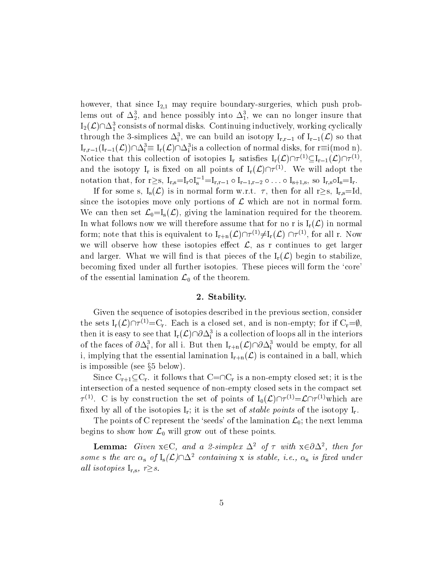however, that since  $I_{2,1}$  may require boundary-surgeries, which push probiems out of  $\Delta_2$ , and hence possibly into  $\Delta_1$ , we can no longer insure that  $1_2(L)$   $\Box$ <sub>1</sub> consists of normal disks. Continuing inductively, working cyclically through the 3-simplices  $\Delta_{\rm i}$ , we can build an isotopy  ${\bf 1_{r,r-1}}$  of  ${\bf 1_{r-1}}(\mathcal{L})$  so that  $I_{r,r-1}(I_{r-1}(\mathcal{L}))\cup I_{r} = I_{r}(\mathcal{L})\cup I_{r}$  is a collection of normal disks, for r=1(mod n). Notice that this collection of isotopies  $I_r$  satisfies  $I_r(\mathcal{L})$   $\mid$   $\cap$   $\subseteq$   $I_{r-1}(\mathcal{L})\mid$   $\cap$   $\subseteq$   $\cap$ and the isotopy  $I_r$  is fixed on all points of  $I_r(\mathcal{L})$  measurement adopt the notation that, for  $r \geq s$ ,  $I_{r,s}=I_{r}$   $\circ I_{s} = I_{r,r-1}$   $\circ I_{r-1,r-2}$   $\circ \ldots \circ I_{s+1,s}$ , so  $I_{r,s}$   $\circ I_{s}=I_{r}$ .

If for some s,  $I_s(\mathcal{L})$  is in normal form w.r.t.  $\tau$ , then for all r $\geq$ s, I<sub>r,s</sub>=Id, since the isotopies move only portions of  $\mathcal L$  which are not in normal form. We can then set  $\mathcal{L}_0=I_s(\mathcal{L})$ , giving the lamination required for the theorem. In what follows now we will therefore assume that for no r is  $I_r(\mathcal{L})$  in normal form; note that this is equivalent to  $I_{r+n}(\mathcal{L})$  (1)  $\mathcal{L} > \mathcal{F}$   $I_r(\mathcal{L})$  (1)  $\mathcal{L} > 0$  all r. Now we will observe how these isotopies effect  $\mathcal{L}$ , as r continues to get larger and larger. What we will find is that pieces of the  $I_r(\mathcal{L})$  begin to stabilize becoming fixed under all further isotopies. These pieces will form the 'core' of the essential lamination  $\mathcal{L}_0$  of the theorem.

## $2.7.9$  Statistics . The statistics is the statistic statistic statistic statistics in the statistic statistic statistics in the statistic statistic statistics in the statistic statistic statistics in the statistic statis

Given the sequence of isotopies described in the previous section, consider the sets  $I_r(L)$   $\beta \geq C_r$ . Each is a closed set, and is non-empty; for if  $C_r=y$ , then it is easy to see that  $I_r(\mathcal{L})\|0\Delta_i$  is a collection of loops all in the interiors of the faces of  $\partial \Delta_{\rm i}$ , for all i. But then  ${\rm I}_{\rm r+n}(\mathcal{L})\vert\,\partial \Delta_{\rm i}$  would be empty, for all i, implying that the essential lamination  $I_{r+n}(\mathcal{L})$  is contained in a ball, which is impossible (see  $\S5$  below).

Since  $C_{r+1} \subseteq C_r$  it follows that  $C=\cap C_r$  is a non-empty closed set; it is the intersection of a nested sequence of non-empty closed sets in the compact set  $T^{\vee}$ . C is by construction the set of points of  $I_0(L)$   $T^{\vee}$   $\cong$   $L$   $T^{\vee}$  which are fixed by all of the isotopies  $I_r$ ; it is the set of *stable points* of the isotopy  $I_r$ .

The points of C represent the 'seeds' of the lamination  $\mathcal{L}_0$ ; the next lemma begins to show how  $\mathcal{L}_0$  will grow out of these points.

**Lemma:** Given  $x \in C$ , and a z-simplex  $\Delta^2$  of T with  $x \in \partial \Delta^2$ , then for some s the arc  $\alpha_s$  of  $I_s(\mathcal{L}) \cap \Delta^2$  containing x is stable, i.e.,  $\alpha_s$  is fixed under all isotopies  $I_{r,s}$ ,  $r \geq s$ .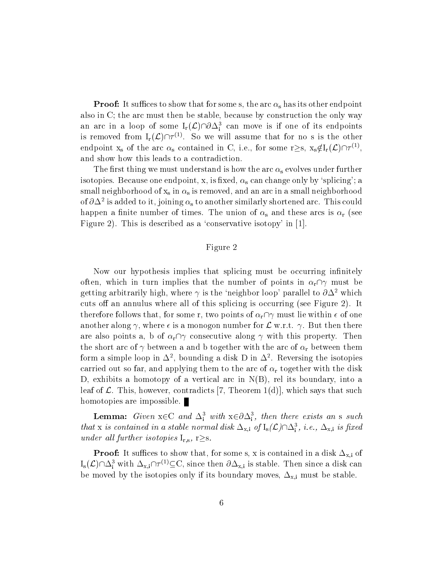Proof: It suces to show that for some s, the arc s has its other endpoint also in C; the arc must then be stable, because by construction the only way an arc in a loop of some  $I_r(\mathcal{L})\|0\Delta_i$  can move is if one of its endpoints is removed from Ir(L)\ (1) . So we will assume that for no sis the other endpoint  $x_s$  of the arc  $\alpha_s$  contained in U, i.e., for some r $\geq$ s,  $x_s \notin I_r(\mathcal{L})\cap\mathcal{L}^*$ , and show how this leads to a contradiction.

The first thing we must understand is how the arc  $\alpha_s$  evolves under further isotopies. Because one endpoint, x, is fixed,  $\alpha_s$  can change only by 'splicing'; a small neighborhood of  $x_s$  in  $\alpha_s$  is removed, and an arc in a small neighborhood of  $\partial \Delta$  is added to it, joining  $\alpha_{\rm s}$  to another similarly shortened arc. This could happen a finite number of times. The union of  $\alpha_s$  and these arcs is  $\alpha_r$  (see Figure 2). This is described as a 'conservative isotopy' in  $[1]$ .

# Figure 2

Now our hypothesis implies that splicing must be occurring infinitely often, which in turn implies that the number of points in  $\alpha_r \cap \gamma$  must be getting arbitrarily high, where  $\gamma$  is the 'neighbor loop' parallel to  $\partial \Delta^2$  which cuts off an annulus where all of this splicing is occurring (see Figure 2). It therefore follows that, for some r, two points of  $\alpha_{\rm r}\cap\gamma$  must lie within  $\epsilon$  of one another along  $\gamma$ , where  $\epsilon$  is a monogon number for  $\mathcal L$  w.r.t.  $\gamma$ . But then there are also points a, b of  $\alpha_{r} \cap \gamma$  consecutive along  $\gamma$  with this property. Then the short arc of  $\gamma$  between a and b together with the arc of  $\alpha_r$  between them form a simple loop in  $\Delta$  , bounding a disk D in  $\Delta$  . Reversing the isotopies carried out so far, and applying them to the arc of  $\alpha_r$  together with the disk D, exhibits a homotopy of a vertical arc in  $N(B)$ , rel its boundary, into a leaf of  $\mathcal L$ . This, however, contradicts [7, Theorem 1(d)], which says that such homotopies are impossible.

**Lemma:** Given  $x \in C$  and  $\Delta_i$  with  $x \in \partial \Delta_i$ , then there exists an s such that x is contained in a stable normal disk  $\Delta_{x,i}$  of  $I_s(L)$   $\Delta_i$ , i.e.,  $\Delta_{x,i}$  is fixed under all further isotopies  $I_{r,s}$ , r $\geq$ s.

 $\blacksquare$  recent to sum of the  $\sim$  show that, for some s, it is contained in a disk  $\blacksquare_{\Lambda,1}$  or  $I_{S}(\mathcal{L})\sqcup \Delta_{\rm i}$  with  $\Delta_{\rm x,i}\sqcup\!\top^{\rm c}\!\sim\!\!\subseteq$ C, since then  $\partial\Delta_{\rm x,i}$  is stable. Then since a disk can be moved by the isotopies only if its boundary moves,  $\Delta_{x,i}$  must be stable.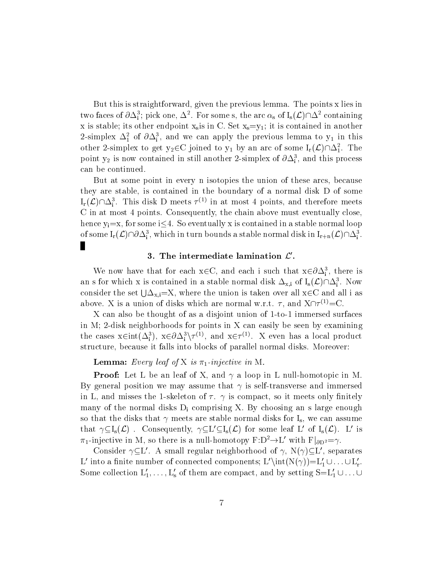But this is straightforward, given the previous lemma. The points x lies in two faces of  $\sigma\Delta_i$ ; pick one,  $\Delta$  . For some s, the arc  $\alpha_s$  of  $I_s(\mathcal{L})\Box$  containing x is stable; its other endpoint  $x_s$  is in C. Set  $x_s = y_1$ ; it is contained in another 2-simplex  $\Delta_1^z$  of  $\partial \Delta_i^z$ , and we can apply the previous lemma to  $y_1$  in this other 2-simplex to get  $y_2 \in C$  joined to  $y_1$  by an arc of some  $I_r(\mathcal{L})\cap \mathcal{Z}_1^T$ . The point  $y_2$  is now contained in still another 2-simplex of  $\partial \Delta_{\tilde{i}}$ , and this process can be continued.

But at some point in every n isotopies the union of these arcs, because they are stable, is contained in the boundary of a normal disk D of some  $I_{\rm r}(\mathcal{L})\sqcup \Delta_{\rm i}$ . This disk D meets  $\tau \vee \tau$  in at most 4 points, and therefore meets C in at most 4 points. Consequently, the chain above must eventually close, hence  $y_i=x$ , for some i $\leq 4$ . So eventually x is contained in a stable normal loop of some  $I_r(\mathcal{L})\cap \mathcal{O}\Delta_{\tilde{i}}^*$ , which in turn bounds a stable normal disk in  $I_{r+n}(\mathcal{L})\cap \Delta_{\tilde{i}}^*$ . п

## 3. The intermediate lamination  $\mathcal{L}$ .

we now have that for each  $x \in C$ , and each i such that  $x \in \partial \Delta_i$ , there is an s for which x is contained in a stable normal disk  $\Delta_{x,i}$  of  $I_s(\mathcal{L})\sqcup \Delta_i^*$ . Now consider the set  $\bigcup \Delta_{x,i}=X$ , where the union is taken over all  $x \in C$  and all i as above. A is a union of disks which are normal w.r.t.  $\tau$ , and A $\tau \sim \tau$ .

X can also be thought of as a disjoint union of 1-to-1 immersed surfaces in M; 2-disk neighborhoods for points in X can easily be seen by examining the cases  $x \in \text{Int}(\Delta_i)$ ,  $x \in \partial \Delta_i$   $\setminus \neg$ , and  $x \in \neg$ . A even has a local product structure, because it falls into blocks of parallel normal disks. Moreover:

## $\blacksquare$  is a set  $\blacksquare$  is the  $\blacksquare$  is  $\blacksquare$  is  $\blacksquare$  in The mass of  $\blacksquare$  is the mass of  $\blacksquare$  is the mass of  $\blacksquare$

Proof: Let L bean leaf of X, and a loop in L null-homotopic in M. By general position we may assume that  $\gamma$  is self-transverse and immersed in L, and misses the 1-skeleton of  $\tau$ .  $\gamma$  is compact, so it meets only finitely many of the normal disks  $D_i$  comprising X. By choosing an s large enough so that the disks that  $\gamma$  meets are stable normal disks for I<sub>s</sub>, we can assume that  $\gamma \subseteq I_s(\mathcal{L})$ . Consequently,  $\gamma \subseteq L' \subseteq I_s(\mathcal{L})$  for some leaf L' of  $I_s(\mathcal{L})$ . L' is  $\pi_1$ -injective in M, so there is a null-homotopy  $F:D^2 \rightarrow L'$  with  $F|_{\partial D^2} = \gamma$ .

Consider  $\gamma \subseteq L'$ . A small regular neighborhood of  $\gamma$ , N( $\gamma$ ) $\subseteq L'$ , separates L' into a finite number of connected components; L' $\int N(\gamma) = L'_1 \cup ... \cup L'_r$ . Some collection  $L'_1,\ldots,L'_s$  of them are compact, and by setting  $S=L'_1 \cup \ldots \cup$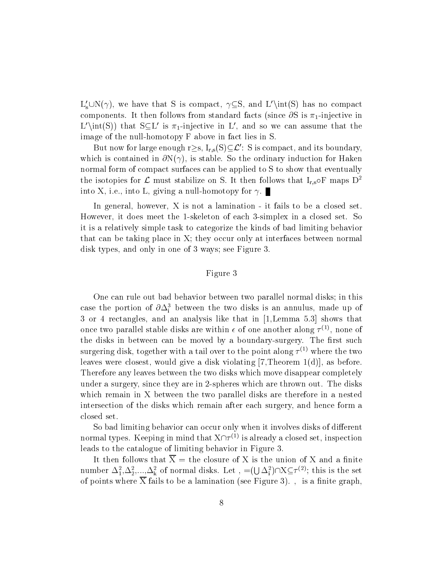$L'_s \cup N(\gamma)$ , we have that S is compact,  $\gamma \subseteq S$ , and  $L'\in(S)$  has no compact components. It then follows from standard facts (since  $\partial S$  is  $\pi_1$ -injective in L'\int(S)) that S $\subseteq$ L' is  $\pi_1$ -injective in L', and so we can assume that the image of the null-homotopy F above in fact lies in S.

But now for large enough  $r\geq s$ ,  $I_{r,s}(S)\subseteq\mathcal{L}'$ : S is compact, and its boundary, which is contained in  $\partial N(\gamma)$ , is stable. So the ordinary induction for Haken normal form of compact surfaces can be applied to S to show that eventually the isotopies for L must stabilize on S. It then follows that  $I_{r,s} \circ F$  maps  $D^2$ into X, i.e., into L, giving a null-homotopy for  $\gamma$ .

In general, however, X is not a lamination - it fails to be a closed set. However, it does meet the 1-skeleton of each 3-simplex in a closed set. So it is a relatively simple task to categorize the kinds of bad limiting behavior that can be taking place in X; they occur only at interfaces between normal disk types, and only in one of 3 ways; see Figure 3.

# Figure 3

One can rule out bad behavior between two parallel normal disks; in this case the portion of  $\partial \Delta_{\tilde{i}}$  between the two disks is an annulus, made up of 3 or 4 rectangles, and an analysis like that in [1,Lemma 5.3] shows that once two parallel stable disks are within  $\epsilon$  of one another along  $\tau \vee \tau$ , none of the disks in between can be moved by a boundary-surgery. The first such surgering disk, together with a tail over to the point along  $\tau^{(*)}$  where the two  $\tau^{(*)}$ leaves were closest, would give a disk violating [7,Theorem 1(d)], as before. Therefore any leaves between the two disks which move disappear completely under a surgery, since they are in 2-spheres which are thrown out. The disks which remain in X between the two parallel disks are therefore in a nested intersection of the disks which remain after each surgery, and hence form a closed set.

So bad limiting behavior can occur only when it involves disks of different normal types. Keeping in mind that  $X\vert\vert\tau^{(*)}$  is already a closed set, inspection leads to the catalogue of limiting behavior in Figure 3.

It then follows that  $\overline{X}$  = the closure of X is the union of X and a finite number  $\Delta_1^2, \Delta_2^2, ..., \Delta_k^2$  of normal disks. Let  $\Box = ( \cup \Delta_1^2) \cap X \subseteq \tau^{(2)}$ ; this is the set of points where  $\overline{X}$  fails to be a lamination (see Figure 3)., is a finite graph,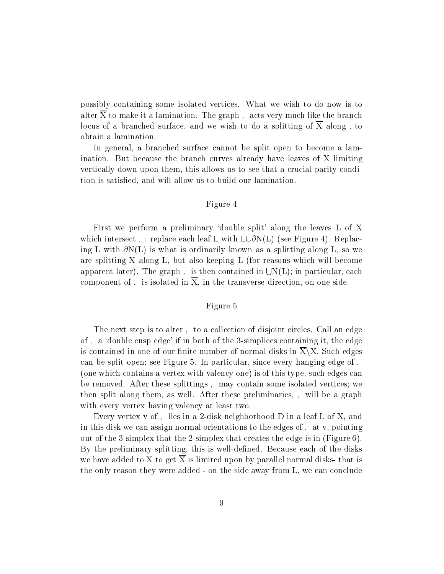possibly containing some isolated vertices. What we wish to do now is to alter  $\overline{X}$  to make it a lamination. The graph, acts very much like the branch locus of a branched surface, and we wish to do a splitting of  $\overline{X}$  along, to obtain a lamination.

In general, a branched surface cannot be split open to become a lamination. But because the branch curves already have leaves of X limiting vertically down upon them, this allows us to see that a crucial parity condition is satised, and will allow us to build our lamination.

# Figure 4

First we perform a preliminary 'double split' along the leaves L of X which intersect, : replace each leaf L with  $L \cup \partial N(L)$  (see Figure 4). Replacing L with  $\partial N(L)$  is what is ordinarily known as a splitting along L, so we are splitting X along L, but also keeping L (for reasons which will become apparent later). The graph, is then contained in  $\bigcup N(L)$ ; in particular, each component of, is isolated in  $\overline{X}$ , in the transverse direction, on one side.

## Figure 5

The next step is to alter, to a collection of disjoint circles. Call an edge of, a 'double cusp edge' if in both of the 3-simplices containing it, the edge is contained in one of our finite number of normal disks in  $\overline{X}\X$ . Such edges can be split open; see Figure 5. In particular, since every hanging edge of (one which contains a vertex with valency one) is of this type, such edges can be removed. After these splittings, may contain some isolated vertices; we then split along them, as well. After these preliminaries, will be a graph with every vertex having valency at least two.

Every vertex v of, lies in a 2-disk neighborhood  $D$  in a leaf  $L$  of  $X$ , and in this disk we can assign normal orientations to the edges of, at  $v$ , pointing out of the 3-simplex that the 2-simplex that creates the edge is in (Figure 6). By the preliminary splitting, this is well-defined. Because each of the disks we have added to X to get  $\overline{X}$  is limited upon by parallel normal disks- that is the only reason they were added - on the side away from L, we can conclude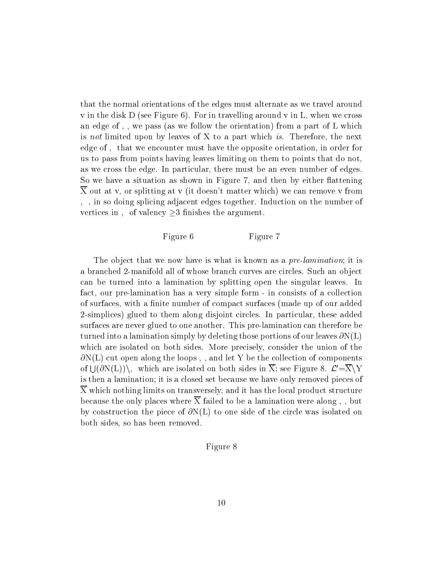that the normal orientations of the edges must alternate as we travel around v in the disk D (see Figure 6). For in travelling around v in L, when we cross an edge of,, we pass (as we follow the orientation) from a part of L which is not limited upon by leaves of X to a part which is. Therefore, the next edge of, that we encounter must have the opposite orientation, in order for us to pass from points having leaves limiting on them to points that do not, as we cross the edge. In particular, there must be an even number of edges. So we have a situation as shown in Figure 7, and then by either flattening X out at v, or splitting at v (it doesn't matter which) we can remove v from , in so doing splicing adjacent edges together. Induction on the number of vertices in, of valency  $\geq$ 3 finishes the argument.

# Figure 6 Figure 7

The object that we now have is what is known as a *pre-lamination*; it is a branched 2-manifold all of whose branch curves are circles. Such an object can be turned into a lamination by splitting open the singular leaves. In fact, our pre-lamination has a very simple form - in consists of a collection of surfaces, with a finite number of compact surfaces (made up of our added 2-simplices) glued to them along disjoint circles. In particular, these added surfaces are never glued to one another. This pre-lamination can therefore be turned into a lamination simply by deleting those portions of our leaves  $\partial N(L)$ which are isolated on both sides. More precisely, consider the union of the  $\partial N(L)$  cut open along the loops,, and let Y be the collection of components of  $\bigcup_{\mathcal{O}} N(L)$ , which are isolated on both sides in X; see Figure 8.  $\mathcal{L}^{\prime} = X \setminus Y$ is then a lamination; it is a closed set because we have only removed pieces of X which nothing limits on transversely, and it has the local product structure because the only places where  $\overline{X}$  failed to be a lamination were along,, but by construction the piece of  $\partial N(L)$  to one side of the circle was isolated on both sides, so has been removed.

# Figure 8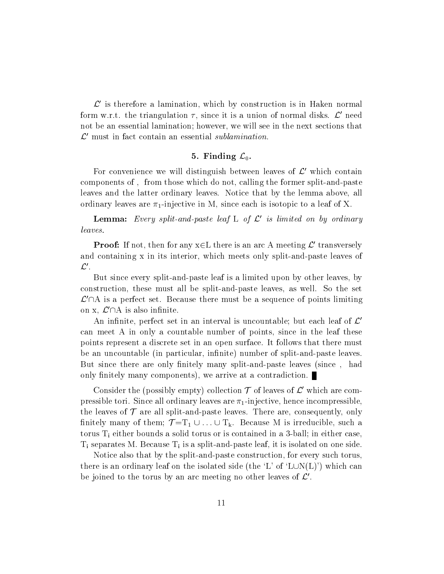$\mathcal{L}^{\prime}$  is therefore a lamination, which by construction is in Haken normal form w.r.t. the triangulation  $\tau$ , since it is a union of normal disks.  $\mathcal{L}'$  need not be an essential lamination; however, we will see in the next sections that  $\mathcal{L}^{\prime}$  must in fact contain an essential sublamination.

## $\mathbf{F} \cdot \mathbf{F} = \mathbf{F} \cdot \mathbf{F} \cdot \mathbf{F} \cdot \mathbf{F} \cdot \mathbf{F} \cdot \mathbf{F} \cdot \mathbf{F} \cdot \mathbf{F} \cdot \mathbf{F} \cdot \mathbf{F} \cdot \mathbf{F} \cdot \mathbf{F} \cdot \mathbf{F} \cdot \mathbf{F} \cdot \mathbf{F} \cdot \mathbf{F} \cdot \mathbf{F} \cdot \mathbf{F} \cdot \mathbf{F} \cdot \mathbf{F} \cdot \mathbf{F} \cdot \mathbf{F} \cdot \mathbf{F} \cdot \mathbf{F} \cdot \mathbf{F} \cdot \mathbf{F$

For convenience we will distinguish between leaves of  $\mathcal{L}'$  which contain components of, from those which do not, calling the former split-and-paste leaves and the latter ordinary leaves. Notice that by the lemma above, all ordinary leaves are  $\pi_1$ -injective in M, since each is isotopic to a leaf of X.

**Lemma:** Every split-and-paste leaf L of L is limited on by ordinary leaves.

**Proof:** If not, then for any  $x \in L$  there is an arc A meeting  $L$  transversely and containing x in its interior, which meets only split-and-paste leaves of  $\mathcal{L}'$ .

But since every split-and-paste leaf is a limited upon by other leaves, by construction, these must all be split-and-paste leaves, as well. So the set  $\mathcal{L}'\cap A$  is a perfect set. Because there must be a sequence of points limiting on x,  $\mathcal{L}'\cap A$  is also infinite.

An infinite, perfect set in an interval is uncountable; but each leaf of  $\mathcal{L}'$ can meet A in only a countable number of points, since in the leaf these points represent a discrete set in an open surface. It follows that there must be an uncountable (in particular, infinite) number of split-and-paste leaves. But since there are only finitely many split-and-paste leaves (since, had only finitely many components), we arrive at a contradiction.

Consider the (possibly empty) collection  $\mathcal T$  of leaves of  $\mathcal L'$  which are compressible tori. Since all ordinary leaves are  $\pi_1$ -injective, hence incompressible the leaves of  $\mathcal T$  are all split-and-paste leaves. There are, consequently, only finitely many of them;  $\mathcal{T} = T_1 \cup ... \cup T_k$ . Because M is irreducible, such a torus  $T_i$  either bounds a solid torus or is contained in a 3-ball; in either case,  $T_i$  separates M. Because  $T_i$  is a split-and-paste leaf, it is isolated on one side.

Notice also that by the split-and-paste construction, for every such torus, there is an ordinary leaf on the isolated side (the 'L' of 'LUN(L)') which can be joined to the torus by an arc meeting no other leaves of  $\mathcal{L}'$ .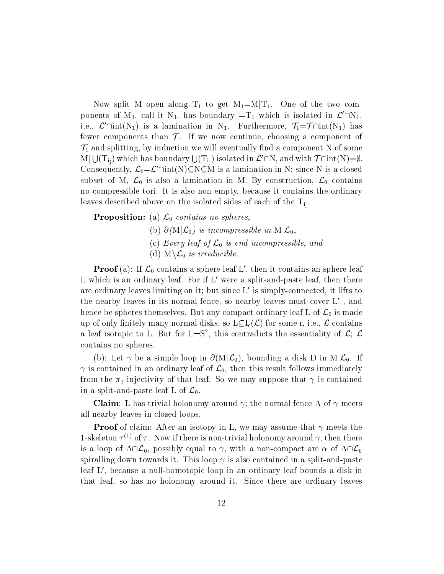Now split M open along  $T_1$  to get  $M_1=M|T_1$ . One of the two components of  $M_1$ , call it  $N_1$ , has boundary  $=T_1$  which is isolated in  $\mathcal{L}'\cap N_1$ , i.e.,  $\mathcal{L}'\cap \text{int}(N_1)$  is a lamination in N<sub>1</sub>. Furthermore,  $\mathcal{T}_1=\mathcal{T} \cap \text{int}(N_1)$  has fewer components than  $\mathcal T$ . If we now continue, choosing a component of  $\mathcal{T}_1$  and splitting, by induction we will eventually find a component N of some  $\mathrm{M}|\bigcup(\mathrm{T_{i,j}})$  which has boundary  $\bigcup(\mathrm{T_{i,j}})$  isolated in  $\mathcal{L}'\cap\mathrm{N},$  and with  $\mathcal{T}\cap\mathrm{int}(\mathrm{N}){=}\emptyset.$ Consequently,  $\mathcal{L}_0 = \mathcal{L}' \cap \text{int}(N) \subseteq N \subseteq M$  is a lamination in N; since N is a closed subset of M,  $\mathcal{L}_0$  is also a lamination in M. By construction,  $\mathcal{L}_0$  contains no compressible tori. It is also non-empty, because it contains the ordinary leaves described above on the isolated sides of each of the isolated sides of the  $\Gamma_{1}$  .

Proposition: (a) L0 contains no spheres,

- (b)  $\partial(M|\mathcal{L}_0)$  is incompressible in  $M|\mathcal{L}_0$ ,
- (c) Every leaf of  $\mathcal{L}_0$  is end-incompressible, and
- (d)  $M\backslash \mathcal{L}_0$  is irreducible.

**Proof** (a): If  $\mathcal{L}_0$  contains a sphere leaf L , then it contains an sphere leaf L which is an ordinary leaf. For if  $L'$  were a split-and-paste leaf, then there are ordinary leaves limiting on it; but since  $L'$  is simply-connected, it lifts to the nearby leaves in its normal fence, so nearby leaves must cover  $L'$ , and hence be spheres themselves. But any compact ordinary leaf L of  $\mathcal{L}_0$  is made up of only finitely many normal disks, so  $L\subset I_r(\mathcal{L})$  for some r, i.e.,  $\mathcal L$  contains a rear isotopic to L. But for  $L=5$  , this contradicts the essentiality of  $L$ ;  $L$ contains no spheres.

(b): Let  $\gamma$  be a simple loop in  $\partial(M|\mathcal{L}_0)$ , bounding a disk D in  $M|\mathcal{L}_0$ . If  $\gamma$  is contained in an ordinary leaf of  $\mathcal{L}_0$ , then this result follows immediately from the  $\pi_1$ -injectivity of that leaf. So we may suppose that  $\gamma$  is contained in a split-and-paste leaf L of  $\mathcal{L}_0$ .

**Claim**: L has trivial holonomy around  $\gamma$ ; the normal fence A of  $\gamma$  meets all nearby leaves in closed loops.

Proof of claim: After an isotopy in L, we may assume that meets the 1-skeleton  $\tau$  ' of  $\tau$  . Now if there is non-trivial holonomy around  $\gamma$ , then there is a loop of  $A\cap\mathcal{L}_0$ , possibly equal to  $\gamma$ , with a non-compact arc  $\alpha$  of  $A\cap\mathcal{L}_0$ spiralling down towards it. This loop  $\gamma$  is also contained in a split-and-paste leaf L', because a null-homotopic loop in an ordinary leaf bounds a disk in that leaf, so has no holonomy around it. Since there are ordinary leaves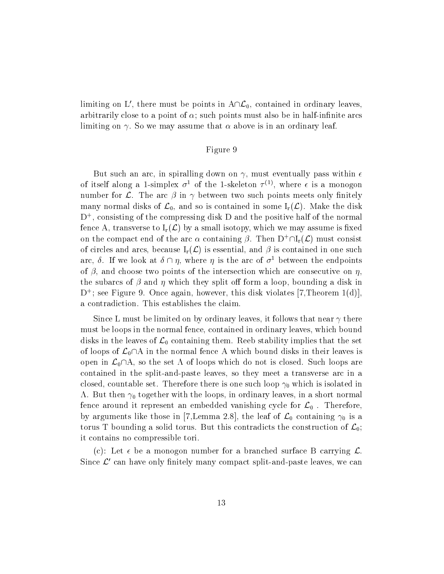limiting on L', there must be points in  $A\cap\mathcal{L}_0$ , contained in ordinary leaves, arbitrarily close to a point of  $\alpha$ ; such points must also be in half-infinite arcs limiting on  $\gamma$ . So we may assume that  $\alpha$  above is in an ordinary leaf.

## Figure 9

But such an arc, in spiralling down on  $\gamma$ , must eventually pass within  $\epsilon$ of itself along a 1-simplex  $\sigma^+$  of the 1-skeleton  $\tau^{<\gamma},$  where  $\epsilon$  is a monogon number for  $\mathcal{L}$ . The arc  $\beta$  in  $\gamma$  between two such points meets only finitely many normal disks of  $\mathcal{L}_0$ , and so is contained in some  $I_r(\mathcal{L})$ . Make the disk D+ , consisting of the compressing disk D and the positive half of the normal fence A, transverse to  $I_r(\mathcal{L})$  by a small isotopy, which we may assume is fixed on the compact end of the arc  $\alpha$  containing  $\beta$ . Then  $D^+\cap I_r(\mathcal{L})$  must consist of circles and arcs, because  $I_r(\mathcal{L})$  is essential, and  $\beta$  is contained in one such arc,  $\delta$ . If we look at  $\delta \cap \eta$ , where  $\eta$  is the arc of  $\sigma^1$  between the endpoints of  $\beta$ , and choose two points of the intersection which are consecutive on  $\eta$ , the subarcs of  $\beta$  and  $\eta$  which they split off form a loop, bounding a disk in D+ ; see Figure 9. Once again, however, this disk violates [7,Theorem 1(d)], a contradiction. This establishes the claim.

Since L must be limited on by ordinary leaves, it follows that near  $\gamma$  there must be loops in the normal fence, contained in ordinary leaves, which bound disks in the leaves of  $\mathcal{L}_0$  containing them. Reeb stability implies that the set of loops of  $\mathcal{L}_0\cap A$  in the normal fence A which bound disks in their leaves is open in  $\mathcal{L}_0\cap A$ , so the set  $\Lambda$  of loops which do not is closed. Such loops are contained in the split-and-paste leaves, so they meet a transverse arc in a closed, countable set. Therefore there is one such loop  $\gamma_0$  which is isolated in  $\Lambda$ . But then  $\gamma_0$  together with the loops, in ordinary leaves, in a short normal fence around it represent an embedded vanishing cycle for  $\mathcal{L}_0$ . Therefore, by arguments like those in [7,Lemma 2.8], the leaf of  $\mathcal{L}_0$  containing  $\gamma_0$  is a torus T bounding a solid torus. But this contradicts the construction of  $\mathcal{L}_0$ ; it contains no compressible tori.

(c): Let  $\epsilon$  be a monogon number for a branched surface B carrying  $\mathcal{L}$ . Since  $\mathcal{L}'$  can have only finitely many compact split-and-paste leaves, we can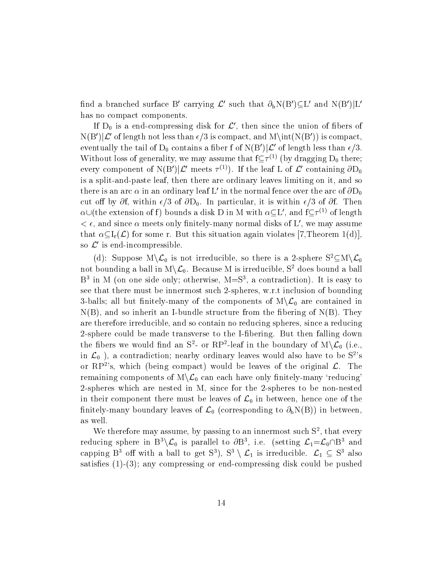find a branched surface B' carrying  $\mathcal{L}'$  such that  $\partial_h N(B') \subseteq L'$  and  $N(B')|L'$ has no compact components.

If  $D_0$  is a end-compressing disk for  $\mathcal{L}'$ , then since the union of fibers of  $N(B')|\mathcal{L}'$  of length not less than  $\epsilon/3$  is compact, and  $M\int N(B')$  is compact, eventually the tail of  $D_0$  contains a fiber f of  $N(B')|\mathcal{L}'$  of length less than  $\epsilon/3$ . without loss of generality, we may assume that  $I \subseteq T^*$  (by dragging  $D_0$  there; every component of  $N(D) | L$  meets  $T^{(2)}$ ). If the leaf L of L containing  $\partial D_0$ is a split-and-paste leaf, then there are ordinary leaves limiting on it, and so there is an arc  $\alpha$  in an ordinary leaf L' in the normal fence over the arc of  $\partial D_0$ cut off by  $\partial f$ , within  $\epsilon/3$  of  $\partial D_0$ . In particular, it is within  $\epsilon/3$  of  $\partial f$ . Then  $\alpha$ U(the extension of f) bounds a disk D in M with  $\alpha$ CL, and iCT<sup>+</sup> of length  $\epsilon$ , and since  $\alpha$  meets only finitely-many normal disks of L', we may assume that  $\alpha \subset I_r(\mathcal{L})$  for some r. But this situation again violates [7,Theorem 1(d)], so  $\mathcal{L}'$  is end-incompressible.

(d): Suppose  $M\backslash\mathcal{L}_0$  is not irreducible, so there is a 2-sphere  $S^2\subseteq M\backslash\mathcal{L}_0$ not bounding a ball in  $M\setminus\mathcal{L}_0$ . Because M is irreducible,  $S^2$  does bound a ball B<sup>3</sup> in M (on one side only; otherwise, M=S<sup>3</sup>, a contradiction). It is easy to see that there must be innermost such 2-spheres, w.r.t inclusion of bounding 3-balls; all but finitely-many of the components of  $M\backslash\mathcal{L}_0$  are contained in  $N(B)$ , and so inherit an I-bundle structure from the fibering of  $N(B)$ . They are therefore irreducible, and so contain no reducing spheres, since a reducing 2-sphere could be made transverse to the I-bering. But then falling down the noers we would find an  $S^-$ - or RP<sup>-</sup>-leaf in the boundary of  $M\setminus L_0$  (i.e., in  $\mathcal{L}_0$ , a contradiction; nearby ordinary leaves would also have to be  $S^2$ 's or  $RP^2$ 's, which (being compact) would be leaves of the original  $\mathcal{L}$ . The remaining components of  $M\backslash\mathcal{L}_0$  can each have only finitely-many 'reducing' 2-spheres which are nested in M, since for the 2-spheres to be non-nested in their component there must be leaves of  $\mathcal{L}_0$  in between, hence one of the finitely-many boundary leaves of  $\mathcal{L}_0$  (corresponding to  $\partial_h N(B)$ ) in between, as well.

We therefore may assume, by passing to an innermost such S2 , that every reducing sphere in  $B_1 \setminus L_0$  is parallel to  $\overline{OD}$ , i.e. (setting  $L_1 = L_0$  D and capping B<sup>3</sup> off with a ball to get S<sup>3</sup>), S<sup>3</sup> \  $\mathcal{L}_1$  is irreducible.  $\mathcal{L}_1 \subseteq S^3$  also satisfies  $(1)-(3)$ ; any compressing or end-compressing disk could be pushed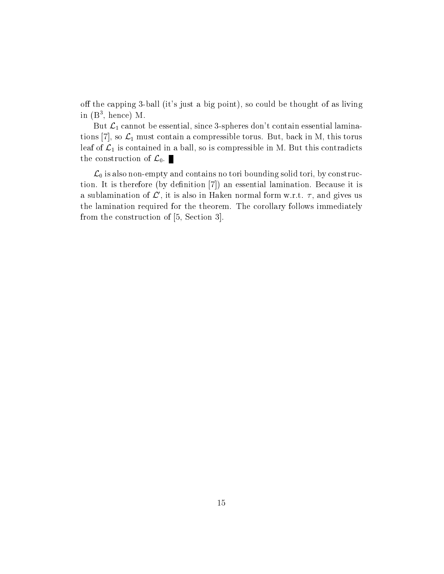off the capping 3-ball (it's just a big point), so could be thought of as living in (B3 , hence) M.

But  $\mathcal{L}_1$  cannot be essential, since 3-spheres don't contain essential laminations [7], so  $\mathcal{L}_1$  must contain a compressible torus. But, back in M, this torus leaf of  $\mathcal{L}_1$  is contained in a ball, so is compressible in M. But this contradicts the construction of  $\mathcal{L}_0$ .

 $\mathcal{L}_0$  is also non-empty and contains no tori bounding solid tori, by construction. It is therefore (by definition  $[7]$ ) an essential lamination. Because it is a sublamination of  $\mathcal{L}'$ , it is also in Haken normal form w.r.t.  $\tau$ , and gives us the lamination required for the theorem. The corollary follows immediately from the construction of [5, Section 3].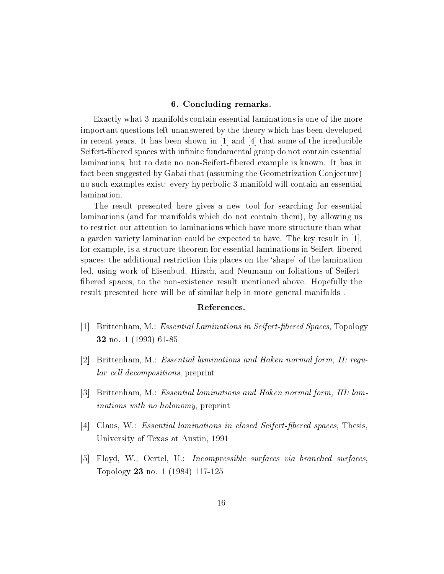## 6. Concluding remarks.

Exactly what 3-manifolds contain essential laminations is one of the more important questions left unanswered by the theory which has been developed in recent years. It has been shown in [1] and [4] that some of the irreducible Seifert-fibered spaces with infinite fundamental group do not contain essential laminations, but to date no non-Seifert-bered example is known. It has in fact been suggested by Gabai that (assuming the Geometrization Conjecture) no such examples exist: every hyperbolic 3-manifold will contain an essential lamination.

The result presented here gives a new tool for searching for essential laminations (and for manifolds which do not contain them), by allowing us to restrict our attention to laminations which have more structure than what a garden variety lamination could be expected to have. The key result in [1], for example, is a structure theorem for essential laminations in Seifert-bered spaces; the additional restriction this places on the `shape' of the lamination led, using work of Eisenbud, Hirsch, and Neumann on foliations of Seifert bered spaces, to the non-existence result mentioned above. Hopefully the result presented here will be of similar help in more general manifolds .

## References.

- [1] Brittenham, M.: Essential Laminations in Seifert-bered Spaces, Topology 32 1 (2093) 61-85
- [2] Brittenham, M.: Essential laminations and Haken normal form, II: regular cell decompositions, preprint
- [3] Brittenham, M.: Essential laminations and Haken normal form, III: laminations with no holonomy, preprint
- [4] Claus, W.: Essential laminations in closed Seifert-fibered spaces, Thesis. University of Texas at Austin, 1991
- [5] Floyd, W., Oertel, U.: Incompressible surfaces via branched surfaces, Topology <sup>23</sup> no. 1 (1984) 117-125